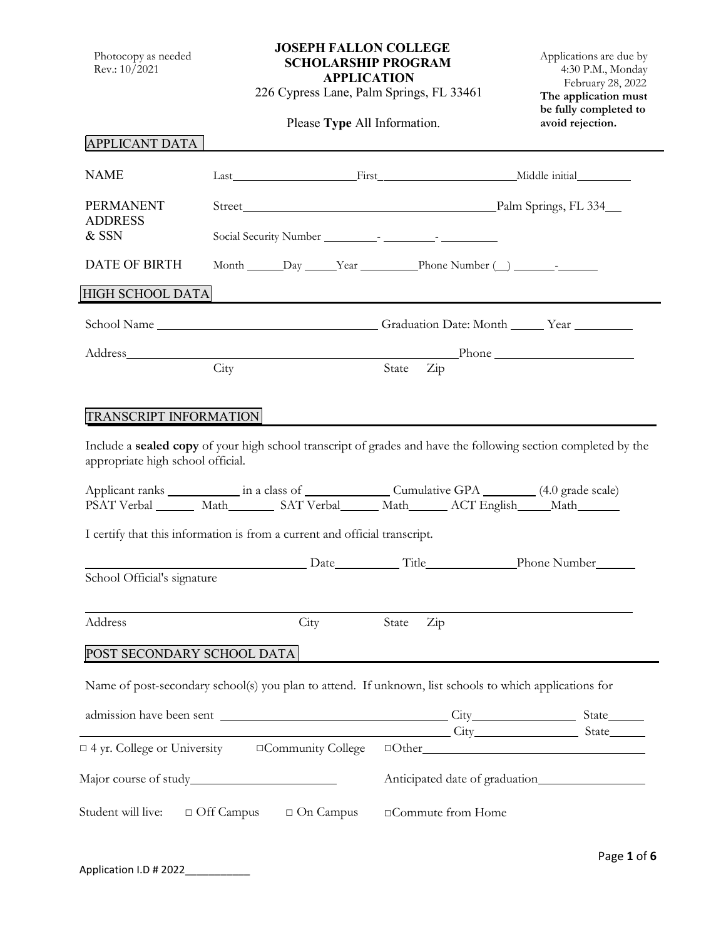Photocopy as needed Rev.: 10/2021

## **JOSEPH FALLON COLLEGE SCHOLARSHIP PROGRAM APPLICATION**

226 Cypress Lane, Palm Springs, FL 33461

Please **Type** All Information.

Applications are due by 4:30 P.M., Monday February 28, 2022 **The application must be fully completed to avoid rejection.**

| <b>APPLICANT DATA</b>                                                                                   |                                                                                                                       |                                |  |  |
|---------------------------------------------------------------------------------------------------------|-----------------------------------------------------------------------------------------------------------------------|--------------------------------|--|--|
| <b>NAME</b>                                                                                             | Last First Niddle initial                                                                                             |                                |  |  |
| <b>PERMANENT</b>                                                                                        |                                                                                                                       |                                |  |  |
| <b>ADDRESS</b><br>& SSN                                                                                 |                                                                                                                       |                                |  |  |
| <b>DATE OF BIRTH</b>                                                                                    |                                                                                                                       |                                |  |  |
| HIGH SCHOOL DATA                                                                                        |                                                                                                                       |                                |  |  |
|                                                                                                         | School Name ___________________________________Graduation Date: Month ______Year ___________________                  |                                |  |  |
| Address and the Address                                                                                 |                                                                                                                       | Phone                          |  |  |
|                                                                                                         | City                                                                                                                  | State Zip                      |  |  |
|                                                                                                         |                                                                                                                       |                                |  |  |
| <b>TRANSCRIPT INFORMATION</b>                                                                           |                                                                                                                       |                                |  |  |
| appropriate high school official.                                                                       | Include a <b>sealed copy</b> of your high school transcript of grades and have the following section completed by the |                                |  |  |
|                                                                                                         |                                                                                                                       |                                |  |  |
|                                                                                                         | PSAT Verbal _______ Math_________ SAT Verbal_______ Math_______ ACT English______ Math_______                         |                                |  |  |
|                                                                                                         | I certify that this information is from a current and official transcript.                                            |                                |  |  |
|                                                                                                         | Date Title Phone Number                                                                                               |                                |  |  |
| School Official's signature                                                                             |                                                                                                                       |                                |  |  |
|                                                                                                         |                                                                                                                       |                                |  |  |
| Address                                                                                                 | City                                                                                                                  | State<br>$\operatorname{Zip}$  |  |  |
| POST SECONDARY SCHOOL DATA                                                                              |                                                                                                                       |                                |  |  |
| Name of post-secondary school(s) you plan to attend. If unknown, list schools to which applications for |                                                                                                                       |                                |  |  |
|                                                                                                         |                                                                                                                       |                                |  |  |
|                                                                                                         |                                                                                                                       | City City State                |  |  |
|                                                                                                         | $\Box$ 4 yr. College or University $\Box$ Community College $\Box$ Other                                              |                                |  |  |
|                                                                                                         |                                                                                                                       | Anticipated date of graduation |  |  |
| Student will live:                                                                                      | $\Box$ Off Campus<br>$\Box$ On Campus                                                                                 | □Commute from Home             |  |  |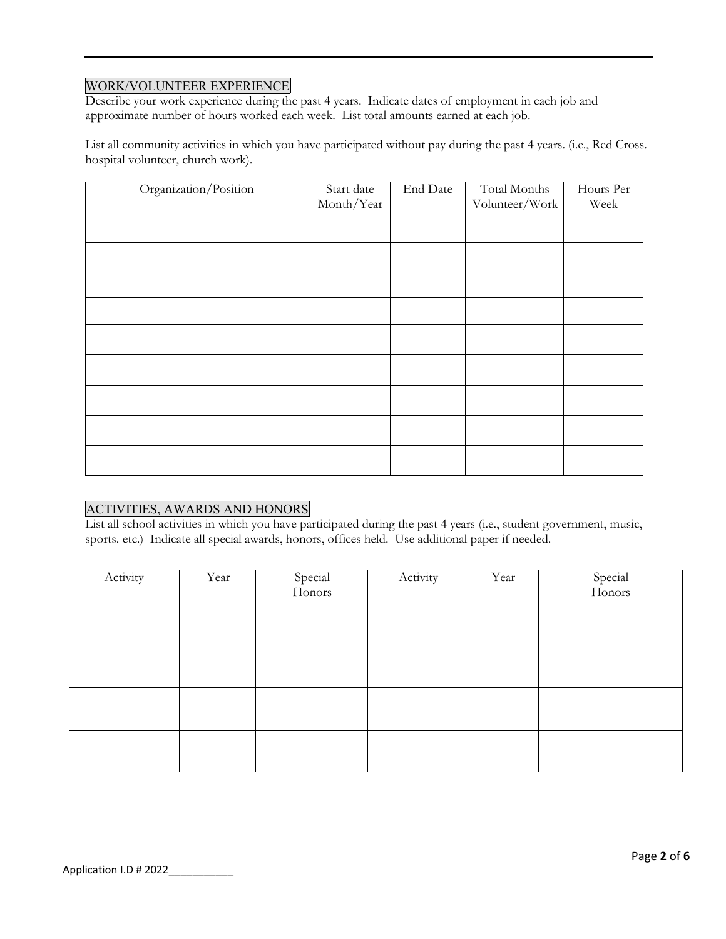## WORK/VOLUNTEER EXPERIENCE

Describe your work experience during the past 4 years. Indicate dates of employment in each job and approximate number of hours worked each week. List total amounts earned at each job.

List all community activities in which you have participated without pay during the past 4 years. (i.e., Red Cross. hospital volunteer, church work).

| Organization/Position | Start date<br>Month/Year | End Date | Total Months<br>Volunteer/Work | Hours Per<br>Week |
|-----------------------|--------------------------|----------|--------------------------------|-------------------|
|                       |                          |          |                                |                   |
|                       |                          |          |                                |                   |
|                       |                          |          |                                |                   |
|                       |                          |          |                                |                   |
|                       |                          |          |                                |                   |
|                       |                          |          |                                |                   |
|                       |                          |          |                                |                   |
|                       |                          |          |                                |                   |
|                       |                          |          |                                |                   |
|                       |                          |          |                                |                   |

## ACTIVITIES, AWARDS AND HONORS

List all school activities in which you have participated during the past 4 years (i.e., student government, music, sports. etc.) Indicate all special awards, honors, offices held. Use additional paper if needed.

| Activity | Year | Special<br>Honors | Activity | Year | Special<br>Honors |
|----------|------|-------------------|----------|------|-------------------|
|          |      |                   |          |      |                   |
|          |      |                   |          |      |                   |
|          |      |                   |          |      |                   |
|          |      |                   |          |      |                   |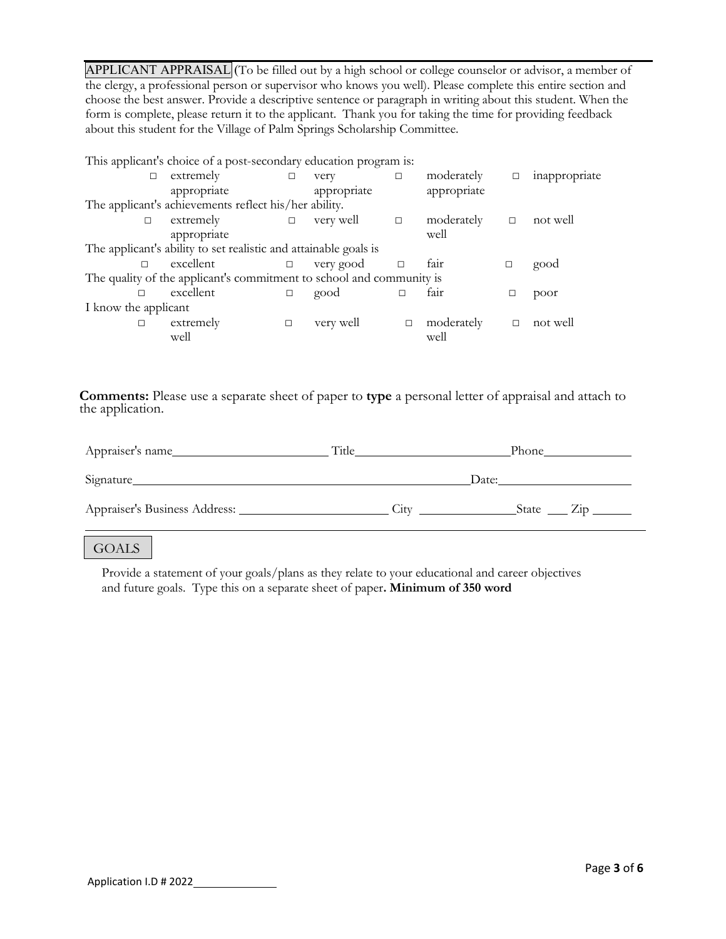APPLICANT APPRAISAL (To be filled out by a high school or college counselor or advisor, a member of the clergy, a professional person or supervisor who knows you well). Please complete this entire section and choose the best answer. Provide a descriptive sentence or paragraph in writing about this student. When the form is complete, please return it to the applicant. Thank you for taking the time for providing feedback about this student for the Village of Palm Springs Scholarship Committee.

| This applicant's choice of a post-secondary education program is:    |                                                       |        |             |        |             |        |               |
|----------------------------------------------------------------------|-------------------------------------------------------|--------|-------------|--------|-------------|--------|---------------|
| П                                                                    | extremely                                             | $\Box$ | very        | $\Box$ | moderately  | □      | inappropriate |
|                                                                      | appropriate                                           |        | appropriate |        | appropriate |        |               |
|                                                                      | The applicant's achievements reflect his/her ability. |        |             |        |             |        |               |
| $\Box$                                                               | extremely                                             | $\Box$ | very well   | $\Box$ | moderately  | $\Box$ | not well      |
|                                                                      | appropriate                                           |        |             |        | well        |        |               |
| The applicant's ability to set realistic and attainable goals is     |                                                       |        |             |        |             |        |               |
|                                                                      | excellent                                             | $\Box$ | very good   |        | fair        |        | good          |
| The quality of the applicant's commitment to school and community is |                                                       |        |             |        |             |        |               |
| $\Box$                                                               | excellent                                             | $\Box$ | good        | П      | fair        |        | poor          |
| I know the applicant                                                 |                                                       |        |             |        |             |        |               |
| □                                                                    | extremely                                             | $\Box$ | very well   | $\Box$ | moderately  | $\Box$ | not well      |
|                                                                      | well                                                  |        |             |        | well        |        |               |

**Comments:** Please use a separate sheet of paper to **type** a personal letter of appraisal and attach to the application.

| Appraiser's name                   | Title            | Phone     |
|------------------------------------|------------------|-----------|
| Signature                          | Date:            |           |
| Appraiser's Business Address: ____ | .11 <sup>T</sup> | State Zip |

#### **GOALS**

Provide a statement of your goals/plans as they relate to your educational and career objectives and future goals. Type this on a separate sheet of paper**. Minimum of 350 word**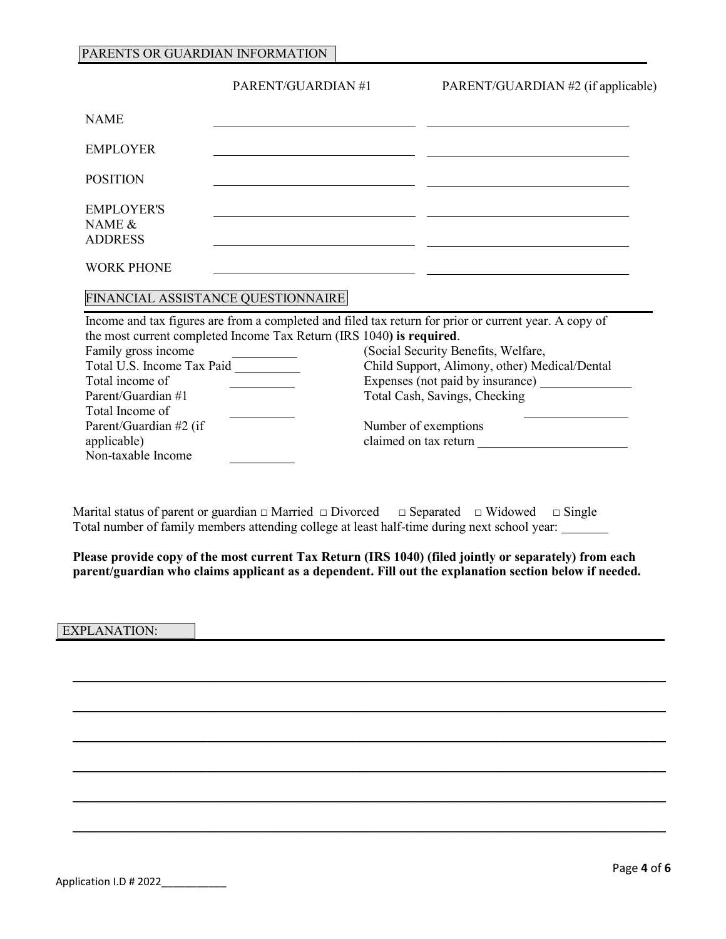#### PARENTS OR GUARDIAN INFORMATION

|                                                                                                                                                                              | PARENT/GUARDIAN#1                                                    | PARENT/GUARDIAN #2 (if applicable)                                                                                                                                                                                                                                                                                  |
|------------------------------------------------------------------------------------------------------------------------------------------------------------------------------|----------------------------------------------------------------------|---------------------------------------------------------------------------------------------------------------------------------------------------------------------------------------------------------------------------------------------------------------------------------------------------------------------|
| <b>NAME</b>                                                                                                                                                                  |                                                                      |                                                                                                                                                                                                                                                                                                                     |
| <b>EMPLOYER</b>                                                                                                                                                              |                                                                      |                                                                                                                                                                                                                                                                                                                     |
| <b>POSITION</b>                                                                                                                                                              |                                                                      |                                                                                                                                                                                                                                                                                                                     |
| <b>EMPLOYER'S</b><br>NAME $\&$<br><b>ADDRESS</b>                                                                                                                             |                                                                      |                                                                                                                                                                                                                                                                                                                     |
| <b>WORK PHONE</b>                                                                                                                                                            |                                                                      |                                                                                                                                                                                                                                                                                                                     |
|                                                                                                                                                                              | FINANCIAL ASSISTANCE QUESTIONNAIRE                                   |                                                                                                                                                                                                                                                                                                                     |
| Family gross income<br>Total U.S. Income Tax Paid<br>Total income of<br>Parent/Guardian #1<br>Total Income of<br>Parent/Guardian #2 (if<br>applicable)<br>Non-taxable Income | the most current completed Income Tax Return (IRS 1040) is required. | Income and tax figures are from a completed and filed tax return for prior or current year. A copy of<br>(Social Security Benefits, Welfare,<br>Child Support, Alimony, other) Medical/Dental<br>Expenses (not paid by insurance)<br>Total Cash, Savings, Checking<br>Number of exemptions<br>claimed on tax return |
|                                                                                                                                                                              |                                                                      |                                                                                                                                                                                                                                                                                                                     |

Marital status of parent or guardian  $\Box$  Married  $\Box$  Divorced  $\Box$  Separated  $\Box$  Widowed  $\Box$  Single Total number of family members attending college at least half-time during next school year:

**Please provide copy of the most current Tax Return (IRS 1040) (filed jointly or separately) from each parent/guardian who claims applicant as a dependent. Fill out the explanation section below if needed.**

\_\_\_\_\_\_\_\_\_\_\_\_\_\_\_\_\_\_\_\_\_\_\_\_\_\_\_\_\_\_\_\_\_\_\_\_\_\_\_\_\_\_\_\_\_\_\_\_\_\_\_\_\_\_\_\_\_\_\_\_\_\_\_\_\_\_\_\_\_\_\_\_\_\_\_\_\_\_\_\_\_\_\_\_\_\_\_\_\_\_\_

\_\_\_\_\_\_\_\_\_\_\_\_\_\_\_\_\_\_\_\_\_\_\_\_\_\_\_\_\_\_\_\_\_\_\_\_\_\_\_\_\_\_\_\_\_\_\_\_\_\_\_\_\_\_\_\_\_\_\_\_\_\_\_\_\_\_\_\_\_\_\_\_\_\_\_\_\_\_\_\_\_\_\_\_\_\_\_\_\_\_\_

\_\_\_\_\_\_\_\_\_\_\_\_\_\_\_\_\_\_\_\_\_\_\_\_\_\_\_\_\_\_\_\_\_\_\_\_\_\_\_\_\_\_\_\_\_\_\_\_\_\_\_\_\_\_\_\_\_\_\_\_\_\_\_\_\_\_\_\_\_\_\_\_\_\_\_\_\_\_\_\_\_\_\_\_\_\_\_\_\_\_\_

\_\_\_\_\_\_\_\_\_\_\_\_\_\_\_\_\_\_\_\_\_\_\_\_\_\_\_\_\_\_\_\_\_\_\_\_\_\_\_\_\_\_\_\_\_\_\_\_\_\_\_\_\_\_\_\_\_\_\_\_\_\_\_\_\_\_\_\_\_\_\_\_\_\_\_\_\_\_\_\_\_\_\_\_\_\_\_\_\_\_\_

\_\_\_\_\_\_\_\_\_\_\_\_\_\_\_\_\_\_\_\_\_\_\_\_\_\_\_\_\_\_\_\_\_\_\_\_\_\_\_\_\_\_\_\_\_\_\_\_\_\_\_\_\_\_\_\_\_\_\_\_\_\_\_\_\_\_\_\_\_\_\_\_\_\_\_\_\_\_\_\_\_\_\_\_\_\_\_\_\_\_\_

\_\_\_\_\_\_\_\_\_\_\_\_\_\_\_\_\_\_\_\_\_\_\_\_\_\_\_\_\_\_\_\_\_\_\_\_\_\_\_\_\_\_\_\_\_\_\_\_\_\_\_\_\_\_\_\_\_\_\_\_\_\_\_\_\_\_\_\_\_\_\_\_\_\_\_\_\_\_\_\_\_\_\_\_\_\_\_\_\_\_\_

#### EXPLANATION: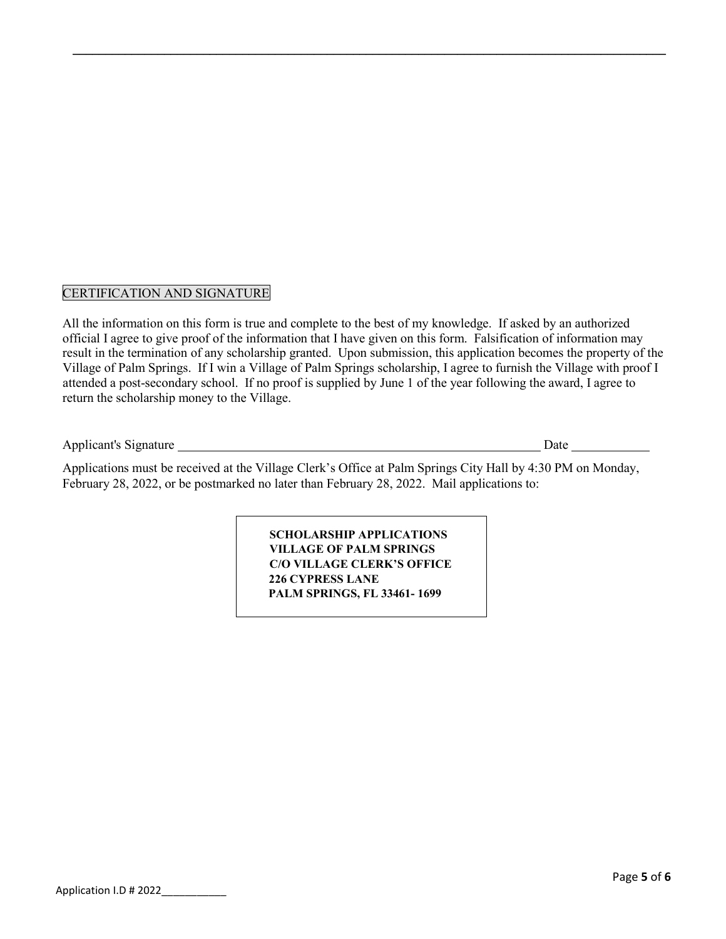## CERTIFICATION AND SIGNATURE

All the information on this form is true and complete to the best of my knowledge. If asked by an authorized official I agree to give proof of the information that I have given on this form. Falsification of information may result in the termination of any scholarship granted. Upon submission, this application becomes the property of the Village of Palm Springs. If I win a Village of Palm Springs scholarship, I agree to furnish the Village with proof I attended a post-secondary school. If no proof is supplied by June 1 of the year following the award, I agree to return the scholarship money to the Village.

\_\_\_\_\_\_\_\_\_\_\_\_\_\_\_\_\_\_\_\_\_\_\_\_\_\_\_\_\_\_\_\_\_\_\_\_\_\_\_\_\_\_\_\_\_\_\_\_\_\_\_\_\_\_\_\_\_\_\_\_\_\_\_\_\_\_\_\_\_\_\_\_\_\_\_\_\_\_\_\_\_\_\_\_\_\_\_\_\_\_\_

Applicant's Signature Date

Applications must be received at the Village Clerk's Office at Palm Springs City Hall by 4:30 PM on Monday, February 28, 2022, or be postmarked no later than February 28, 2022. Mail applications to:

> **SCHOLARSHIP APPLICATIONS VILLAGE OF PALM SPRINGS C/O VILLAGE CLERK'S OFFICE 226 CYPRESS LANE PALM SPRINGS, FL 33461- 1699**